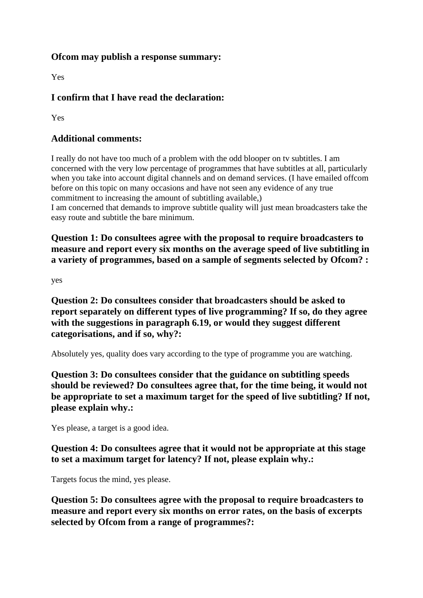## **Ofcom may publish a response summary:**

Yes

## **I confirm that I have read the declaration:**

Yes

## **Additional comments:**

I really do not have too much of a problem with the odd blooper on tv subtitles. I am concerned with the very low percentage of programmes that have subtitles at all, particularly when you take into account digital channels and on demand services. (I have emailed offcom before on this topic on many occasions and have not seen any evidence of any true commitment to increasing the amount of subtitling available,) I am concerned that demands to improve subtitle quality will just mean broadcasters take the

easy route and subtitle the bare minimum.

**Question 1: Do consultees agree with the proposal to require broadcasters to measure and report every six months on the average speed of live subtitling in a variety of programmes, based on a sample of segments selected by Ofcom? :**

yes

**Question 2: Do consultees consider that broadcasters should be asked to report separately on different types of live programming? If so, do they agree with the suggestions in paragraph 6.19, or would they suggest different categorisations, and if so, why?:**

Absolutely yes, quality does vary according to the type of programme you are watching.

**Question 3: Do consultees consider that the guidance on subtitling speeds should be reviewed? Do consultees agree that, for the time being, it would not be appropriate to set a maximum target for the speed of live subtitling? If not, please explain why.:**

Yes please, a target is a good idea.

## **Question 4: Do consultees agree that it would not be appropriate at this stage to set a maximum target for latency? If not, please explain why.:**

Targets focus the mind, yes please.

**Question 5: Do consultees agree with the proposal to require broadcasters to measure and report every six months on error rates, on the basis of excerpts selected by Ofcom from a range of programmes?:**